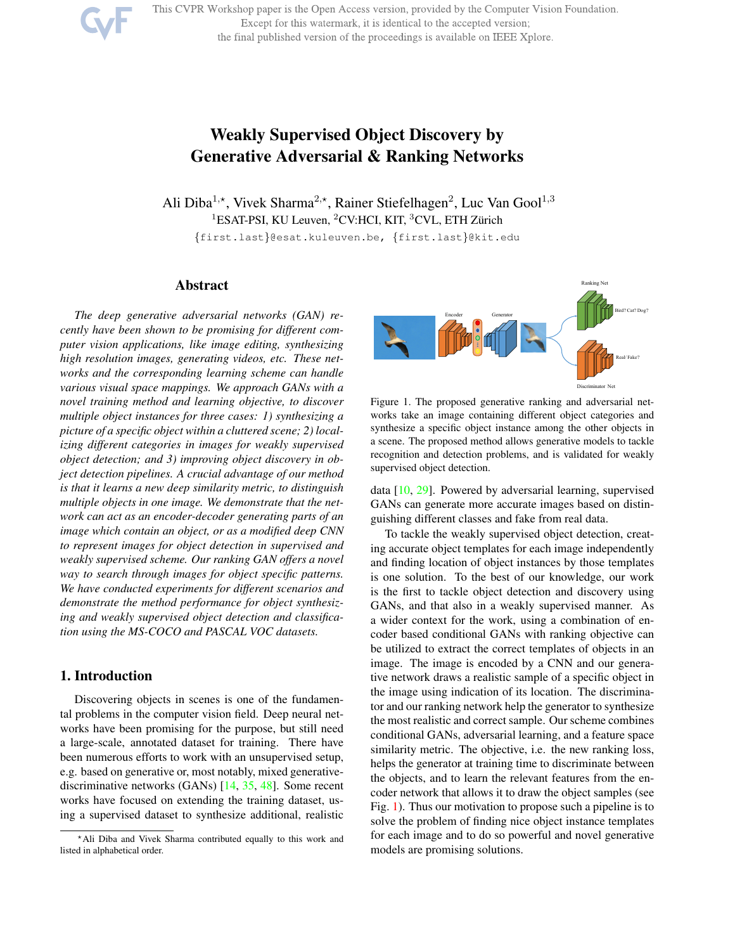This CVPR Workshop paper is the Open Access version, provided by the Computer Vision Foundation.

Except for this watermark, it is identical to the accepted version;

the final published version of the proceedings is available on IEEE Xplore.



# Weakly Supervised Object Discovery by Generative Adversarial & Ranking Networks

Ali Diba<sup>1,\*</sup>, Vivek Sharma<sup>2,\*</sup>, Rainer Stiefelhagen<sup>2</sup>, Luc Van Gool<sup>1,3</sup> <sup>1</sup>ESAT-PSI, KU Leuven, <sup>2</sup>CV:HCI, KIT, <sup>3</sup>CVL, ETH Zürich {first.last}@esat.kuleuven.be, {first.last}@kit.edu

# Abstract

*The deep generative adversarial networks (GAN) recently have been shown to be promising for different computer vision applications, like image editing, synthesizing high resolution images, generating videos, etc. These networks and the corresponding learning scheme can handle various visual space mappings. We approach GANs with a novel training method and learning objective, to discover multiple object instances for three cases: 1) synthesizing a picture of a specific object within a cluttered scene; 2) localizing different categories in images for weakly supervised object detection; and 3) improving object discovery in object detection pipelines. A crucial advantage of our method is that it learns a new deep similarity metric, to distinguish multiple objects in one image. We demonstrate that the network can act as an encoder-decoder generating parts of an image which contain an object, or as a modified deep CNN to represent images for object detection in supervised and weakly supervised scheme. Our ranking GAN offers a novel way to search through images for object specific patterns. We have conducted experiments for different scenarios and demonstrate the method performance for object synthesizing and weakly supervised object detection and classification using the MS-COCO and PASCAL VOC datasets.*

# 1. Introduction

Discovering objects in scenes is one of the fundamental problems in the computer vision field. Deep neural networks have been promising for the purpose, but still need a large-scale, annotated dataset for training. There have been numerous efforts to work with an unsupervised setup, e.g. based on generative or, most notably, mixed generativediscriminative networks (GANs) [14, 35, 48]. Some recent works have focused on extending the training dataset, using a supervised dataset to synthesize additional, realistic



Figure 1. The proposed generative ranking and adversarial networks take an image containing different object categories and synthesize a specific object instance among the other objects in a scene. The proposed method allows generative models to tackle recognition and detection problems, and is validated for weakly supervised object detection.

data [10, 29]. Powered by adversarial learning, supervised GANs can generate more accurate images based on distinguishing different classes and fake from real data.

To tackle the weakly supervised object detection, creating accurate object templates for each image independently and finding location of object instances by those templates is one solution. To the best of our knowledge, our work is the first to tackle object detection and discovery using GANs, and that also in a weakly supervised manner. As a wider context for the work, using a combination of encoder based conditional GANs with ranking objective can be utilized to extract the correct templates of objects in an image. The image is encoded by a CNN and our generative network draws a realistic sample of a specific object in the image using indication of its location. The discriminator and our ranking network help the generator to synthesize the most realistic and correct sample. Our scheme combines conditional GANs, adversarial learning, and a feature space similarity metric. The objective, i.e. the new ranking loss, helps the generator at training time to discriminate between the objects, and to learn the relevant features from the encoder network that allows it to draw the object samples (see Fig. 1). Thus our motivation to propose such a pipeline is to solve the problem of finding nice object instance templates for each image and to do so powerful and novel generative models are promising solutions.

<sup>⋆</sup>Ali Diba and Vivek Sharma contributed equally to this work and listed in alphabetical order.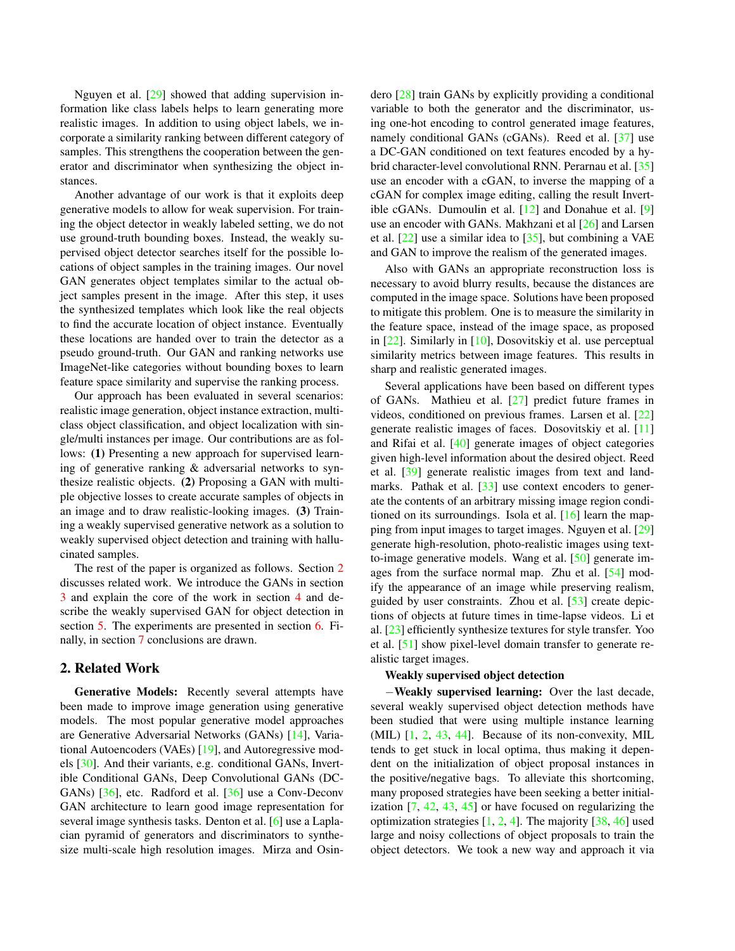Nguyen et al. [29] showed that adding supervision information like class labels helps to learn generating more realistic images. In addition to using object labels, we incorporate a similarity ranking between different category of samples. This strengthens the cooperation between the generator and discriminator when synthesizing the object instances.

Another advantage of our work is that it exploits deep generative models to allow for weak supervision. For training the object detector in weakly labeled setting, we do not use ground-truth bounding boxes. Instead, the weakly supervised object detector searches itself for the possible locations of object samples in the training images. Our novel GAN generates object templates similar to the actual object samples present in the image. After this step, it uses the synthesized templates which look like the real objects to find the accurate location of object instance. Eventually these locations are handed over to train the detector as a pseudo ground-truth. Our GAN and ranking networks use ImageNet-like categories without bounding boxes to learn feature space similarity and supervise the ranking process.

Our approach has been evaluated in several scenarios: realistic image generation, object instance extraction, multiclass object classification, and object localization with single/multi instances per image. Our contributions are as follows: (1) Presenting a new approach for supervised learning of generative ranking & adversarial networks to synthesize realistic objects. (2) Proposing a GAN with multiple objective losses to create accurate samples of objects in an image and to draw realistic-looking images. (3) Training a weakly supervised generative network as a solution to weakly supervised object detection and training with hallucinated samples.

The rest of the paper is organized as follows. Section 2 discusses related work. We introduce the GANs in section 3 and explain the core of the work in section 4 and describe the weakly supervised GAN for object detection in section 5. The experiments are presented in section 6. Finally, in section 7 conclusions are drawn.

# 2. Related Work

Generative Models: Recently several attempts have been made to improve image generation using generative models. The most popular generative model approaches are Generative Adversarial Networks (GANs) [14], Variational Autoencoders (VAEs) [19], and Autoregressive models [30]. And their variants, e.g. conditional GANs, Invertible Conditional GANs, Deep Convolutional GANs (DC-GANs) [36], etc. Radford et al. [36] use a Conv-Deconv GAN architecture to learn good image representation for several image synthesis tasks. Denton et al. [6] use a Laplacian pyramid of generators and discriminators to synthesize multi-scale high resolution images. Mirza and Osindero [28] train GANs by explicitly providing a conditional variable to both the generator and the discriminator, using one-hot encoding to control generated image features, namely conditional GANs (cGANs). Reed et al. [37] use a DC-GAN conditioned on text features encoded by a hybrid character-level convolutional RNN. Perarnau et al. [35] use an encoder with a cGAN, to inverse the mapping of a cGAN for complex image editing, calling the result Invertible cGANs. Dumoulin et al. [12] and Donahue et al. [9] use an encoder with GANs. Makhzani et al [26] and Larsen et al. [22] use a similar idea to [35], but combining a VAE and GAN to improve the realism of the generated images.

Also with GANs an appropriate reconstruction loss is necessary to avoid blurry results, because the distances are computed in the image space. Solutions have been proposed to mitigate this problem. One is to measure the similarity in the feature space, instead of the image space, as proposed in [22]. Similarly in [10], Dosovitskiy et al. use perceptual similarity metrics between image features. This results in sharp and realistic generated images.

Several applications have been based on different types of GANs. Mathieu et al. [27] predict future frames in videos, conditioned on previous frames. Larsen et al. [22] generate realistic images of faces. Dosovitskiy et al. [11] and Rifai et al. [40] generate images of object categories given high-level information about the desired object. Reed et al. [39] generate realistic images from text and landmarks. Pathak et al.  $\left[33\right]$  use context encoders to generate the contents of an arbitrary missing image region conditioned on its surroundings. Isola et al. [16] learn the mapping from input images to target images. Nguyen et al. [29] generate high-resolution, photo-realistic images using textto-image generative models. Wang et al. [50] generate images from the surface normal map. Zhu et al. [54] modify the appearance of an image while preserving realism, guided by user constraints. Zhou et al. [53] create depictions of objects at future times in time-lapse videos. Li et al. [23] efficiently synthesize textures for style transfer. Yoo et al. [51] show pixel-level domain transfer to generate realistic target images.

# Weakly supervised object detection

−Weakly supervised learning: Over the last decade, several weakly supervised object detection methods have been studied that were using multiple instance learning (MIL) [1, 2, 43, 44]. Because of its non-convexity, MIL tends to get stuck in local optima, thus making it dependent on the initialization of object proposal instances in the positive/negative bags. To alleviate this shortcoming, many proposed strategies have been seeking a better initialization [7, 42, 43, 45] or have focused on regularizing the optimization strategies [1, 2, 4]. The majority [38, 46] used large and noisy collections of object proposals to train the object detectors. We took a new way and approach it via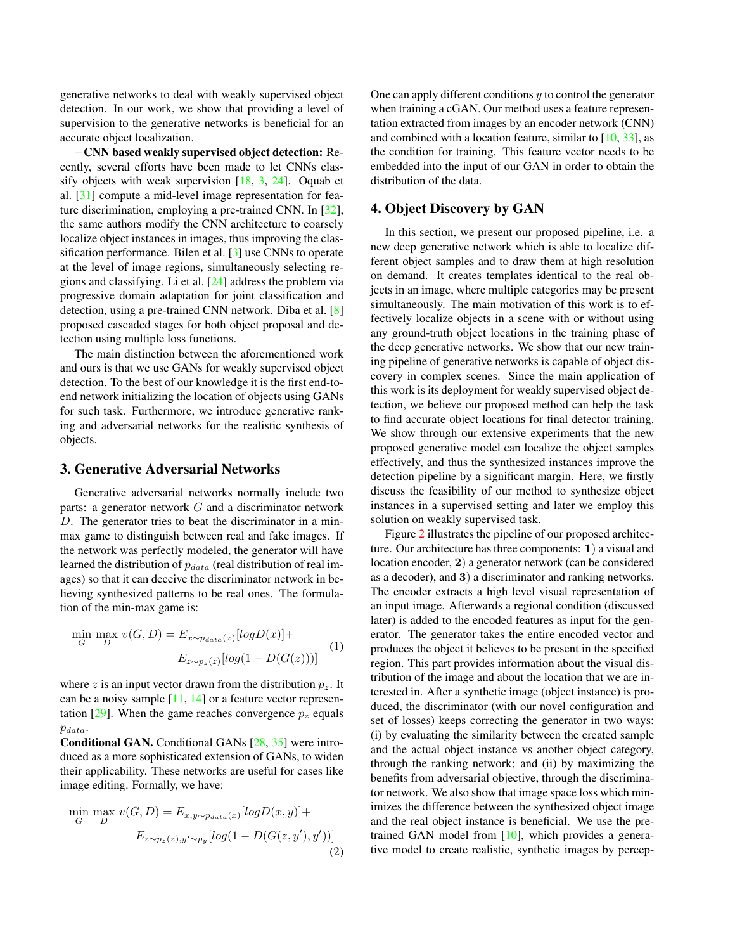generative networks to deal with weakly supervised object detection. In our work, we show that providing a level of supervision to the generative networks is beneficial for an accurate object localization.

−CNN based weakly supervised object detection: Recently, several efforts have been made to let CNNs classify objects with weak supervision [18, 3, 24]. Oquab et al. [31] compute a mid-level image representation for feature discrimination, employing a pre-trained CNN. In [32], the same authors modify the CNN architecture to coarsely localize object instances in images, thus improving the classification performance. Bilen et al. [3] use CNNs to operate at the level of image regions, simultaneously selecting regions and classifying. Li et al. [24] address the problem via progressive domain adaptation for joint classification and detection, using a pre-trained CNN network. Diba et al. [8] proposed cascaded stages for both object proposal and detection using multiple loss functions.

The main distinction between the aforementioned work and ours is that we use GANs for weakly supervised object detection. To the best of our knowledge it is the first end-toend network initializing the location of objects using GANs for such task. Furthermore, we introduce generative ranking and adversarial networks for the realistic synthesis of objects.

# 3. Generative Adversarial Networks

Generative adversarial networks normally include two parts: a generator network  $G$  and a discriminator network D. The generator tries to beat the discriminator in a minmax game to distinguish between real and fake images. If the network was perfectly modeled, the generator will have learned the distribution of  $p_{data}$  (real distribution of real images) so that it can deceive the discriminator network in believing synthesized patterns to be real ones. The formulation of the min-max game is:

$$
\min_{G} \max_{D} v(G, D) = E_{x \sim p_{data}(x)}[logD(x)] +
$$
  

$$
E_{z \sim p_z(z)}[log(1 - D(G(z)))]
$$
 (1)

where z is an input vector drawn from the distribution  $p_{\gamma}$ . It can be a noisy sample [11, 14] or a feature vector representation [29]. When the game reaches convergence  $p<sub>z</sub>$  equals pdata.

Conditional GAN. Conditional GANs [28, 35] were introduced as a more sophisticated extension of GANs, to widen their applicability. These networks are useful for cases like image editing. Formally, we have:

$$
\min_{G} \max_{D} v(G, D) = E_{x, y \sim p_{data}(x)} [logD(x, y)] +
$$

$$
E_{z \sim p_z(z), y' \sim p_y} [log(1 - D(G(z, y'), y'))]
$$
(2)

One can apply different conditions  $y$  to control the generator when training a cGAN. Our method uses a feature representation extracted from images by an encoder network (CNN) and combined with a location feature, similar to [10, 33], as the condition for training. This feature vector needs to be embedded into the input of our GAN in order to obtain the distribution of the data.

# 4. Object Discovery by GAN

In this section, we present our proposed pipeline, i.e. a new deep generative network which is able to localize different object samples and to draw them at high resolution on demand. It creates templates identical to the real objects in an image, where multiple categories may be present simultaneously. The main motivation of this work is to effectively localize objects in a scene with or without using any ground-truth object locations in the training phase of the deep generative networks. We show that our new training pipeline of generative networks is capable of object discovery in complex scenes. Since the main application of this work is its deployment for weakly supervised object detection, we believe our proposed method can help the task to find accurate object locations for final detector training. We show through our extensive experiments that the new proposed generative model can localize the object samples effectively, and thus the synthesized instances improve the detection pipeline by a significant margin. Here, we firstly discuss the feasibility of our method to synthesize object instances in a supervised setting and later we employ this solution on weakly supervised task.

Figure 2 illustrates the pipeline of our proposed architecture. Our architecture has three components: 1) a visual and location encoder, 2) a generator network (can be considered as a decoder), and 3) a discriminator and ranking networks. The encoder extracts a high level visual representation of an input image. Afterwards a regional condition (discussed later) is added to the encoded features as input for the generator. The generator takes the entire encoded vector and produces the object it believes to be present in the specified region. This part provides information about the visual distribution of the image and about the location that we are interested in. After a synthetic image (object instance) is produced, the discriminator (with our novel configuration and set of losses) keeps correcting the generator in two ways: (i) by evaluating the similarity between the created sample and the actual object instance vs another object category, through the ranking network; and (ii) by maximizing the benefits from adversarial objective, through the discriminator network. We also show that image space loss which minimizes the difference between the synthesized object image and the real object instance is beneficial. We use the pretrained GAN model from [10], which provides a generative model to create realistic, synthetic images by percep-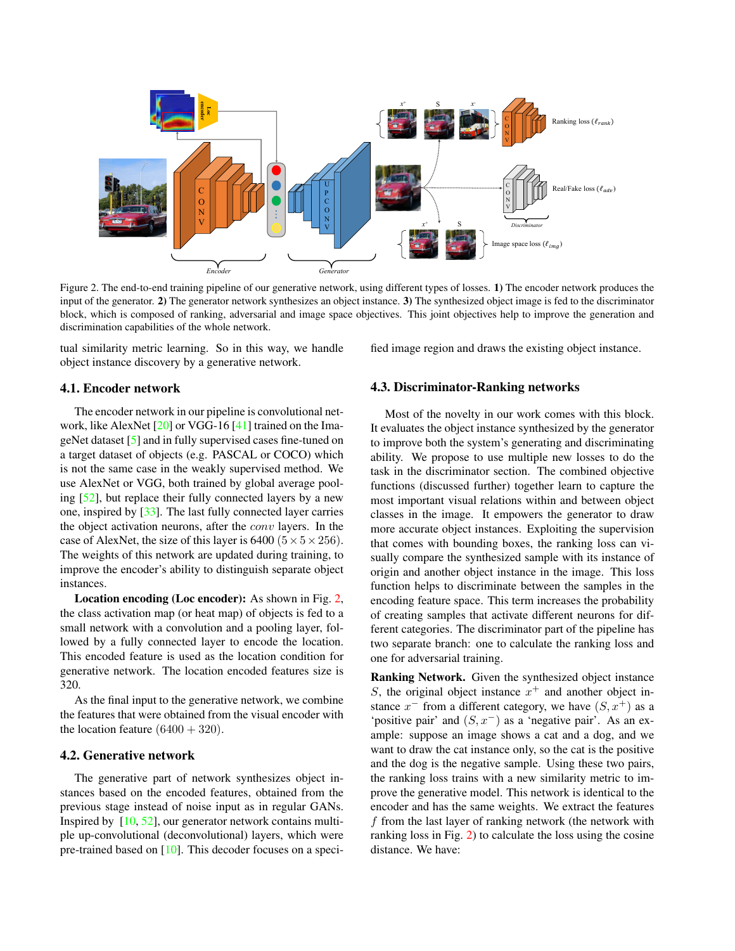

Figure 2. The end-to-end training pipeline of our generative network, using different types of losses. 1) The encoder network produces the input of the generator. 2) The generator network synthesizes an object instance. 3) The synthesized object image is fed to the discriminator block, which is composed of ranking, adversarial and image space objectives. This joint objectives help to improve the generation and discrimination capabilities of the whole network.

tual similarity metric learning. So in this way, we handle object instance discovery by a generative network.

## 4.1. Encoder network

The encoder network in our pipeline is convolutional network, like AlexNet [20] or VGG-16 [41] trained on the ImageNet dataset [5] and in fully supervised cases fine-tuned on a target dataset of objects (e.g. PASCAL or COCO) which is not the same case in the weakly supervised method. We use AlexNet or VGG, both trained by global average pooling [52], but replace their fully connected layers by a new one, inspired by [33]. The last fully connected layer carries the object activation neurons, after the conv layers. In the case of AlexNet, the size of this layer is 6400 ( $5 \times 5 \times 256$ ). The weights of this network are updated during training, to improve the encoder's ability to distinguish separate object instances.

Location encoding (Loc encoder): As shown in Fig. 2, the class activation map (or heat map) of objects is fed to a small network with a convolution and a pooling layer, followed by a fully connected layer to encode the location. This encoded feature is used as the location condition for generative network. The location encoded features size is 320.

As the final input to the generative network, we combine the features that were obtained from the visual encoder with the location feature  $(6400 + 320)$ .

# 4.2. Generative network

The generative part of network synthesizes object instances based on the encoded features, obtained from the previous stage instead of noise input as in regular GANs. Inspired by [10, 52], our generator network contains multiple up-convolutional (deconvolutional) layers, which were pre-trained based on [10]. This decoder focuses on a specified image region and draws the existing object instance.

#### 4.3. Discriminator-Ranking networks

Most of the novelty in our work comes with this block. It evaluates the object instance synthesized by the generator to improve both the system's generating and discriminating ability. We propose to use multiple new losses to do the task in the discriminator section. The combined objective functions (discussed further) together learn to capture the most important visual relations within and between object classes in the image. It empowers the generator to draw more accurate object instances. Exploiting the supervision that comes with bounding boxes, the ranking loss can visually compare the synthesized sample with its instance of origin and another object instance in the image. This loss function helps to discriminate between the samples in the encoding feature space. This term increases the probability of creating samples that activate different neurons for different categories. The discriminator part of the pipeline has two separate branch: one to calculate the ranking loss and one for adversarial training.

Ranking Network. Given the synthesized object instance S, the original object instance  $x^+$  and another object instance  $x^-$  from a different category, we have  $(S, x^+)$  as a 'positive pair' and  $(S, x<sup>-</sup>)$  as a 'negative pair'. As an example: suppose an image shows a cat and a dog, and we want to draw the cat instance only, so the cat is the positive and the dog is the negative sample. Using these two pairs, the ranking loss trains with a new similarity metric to improve the generative model. This network is identical to the encoder and has the same weights. We extract the features f from the last layer of ranking network (the network with ranking loss in Fig. 2) to calculate the loss using the cosine distance. We have: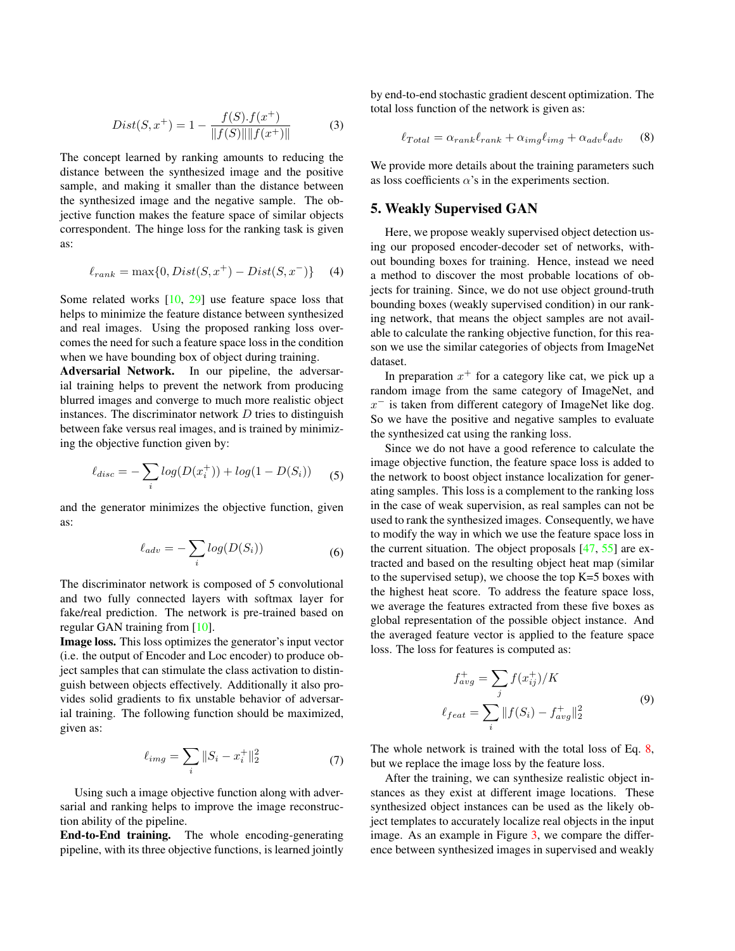$$
Dist(S, x^{+}) = 1 - \frac{f(S).f(x^{+})}{\|f(S)\| \|f(x^{+})\|}
$$
(3)

The concept learned by ranking amounts to reducing the distance between the synthesized image and the positive sample, and making it smaller than the distance between the synthesized image and the negative sample. The objective function makes the feature space of similar objects correspondent. The hinge loss for the ranking task is given as:

$$
\ell_{rank} = \max\{0, Dist(S, x^{+}) - Dist(S, x^{-})\} \quad (4)
$$

Some related works [10, 29] use feature space loss that helps to minimize the feature distance between synthesized and real images. Using the proposed ranking loss overcomes the need for such a feature space loss in the condition when we have bounding box of object during training.

Adversarial Network. In our pipeline, the adversarial training helps to prevent the network from producing blurred images and converge to much more realistic object instances. The discriminator network  $D$  tries to distinguish between fake versus real images, and is trained by minimizing the objective function given by:

$$
\ell_{disc} = -\sum_{i} log(D(x_i^+)) + log(1 - D(S_i))
$$
 (5)

and the generator minimizes the objective function, given as:

$$
\ell_{adv} = -\sum_{i} log(D(S_i))
$$
\n(6)

The discriminator network is composed of 5 convolutional and two fully connected layers with softmax layer for fake/real prediction. The network is pre-trained based on regular GAN training from [10].

Image loss. This loss optimizes the generator's input vector (i.e. the output of Encoder and Loc encoder) to produce object samples that can stimulate the class activation to distinguish between objects effectively. Additionally it also provides solid gradients to fix unstable behavior of adversarial training. The following function should be maximized, given as:

$$
\ell_{img} = \sum_{i} ||S_i - x_i^+||_2^2 \tag{7}
$$

Using such a image objective function along with adversarial and ranking helps to improve the image reconstruction ability of the pipeline.

End-to-End training. The whole encoding-generating pipeline, with its three objective functions, is learned jointly by end-to-end stochastic gradient descent optimization. The total loss function of the network is given as:

$$
\ell_{Total} = \alpha_{rank}\ell_{rank} + \alpha_{img}\ell_{img} + \alpha_{adv}\ell_{adv} \tag{8}
$$

We provide more details about the training parameters such as loss coefficients  $\alpha$ 's in the experiments section.

#### 5. Weakly Supervised GAN

Here, we propose weakly supervised object detection using our proposed encoder-decoder set of networks, without bounding boxes for training. Hence, instead we need a method to discover the most probable locations of objects for training. Since, we do not use object ground-truth bounding boxes (weakly supervised condition) in our ranking network, that means the object samples are not available to calculate the ranking objective function, for this reason we use the similar categories of objects from ImageNet dataset.

In preparation  $x^+$  for a category like cat, we pick up a random image from the same category of ImageNet, and  $x^-$  is taken from different category of ImageNet like dog. So we have the positive and negative samples to evaluate the synthesized cat using the ranking loss.

Since we do not have a good reference to calculate the image objective function, the feature space loss is added to the network to boost object instance localization for generating samples. This loss is a complement to the ranking loss in the case of weak supervision, as real samples can not be used to rank the synthesized images. Consequently, we have to modify the way in which we use the feature space loss in the current situation. The object proposals [47, 55] are extracted and based on the resulting object heat map (similar to the supervised setup), we choose the top  $K=5$  boxes with the highest heat score. To address the feature space loss, we average the features extracted from these five boxes as global representation of the possible object instance. And the averaged feature vector is applied to the feature space loss. The loss for features is computed as:

$$
f_{avg}^{+} = \sum_{j} f(x_{ij}^{+}) / K
$$
  

$$
\ell_{feat} = \sum_{i} ||f(S_{i}) - f_{avg}^{+}||_{2}^{2}
$$
 (9)

The whole network is trained with the total loss of Eq. 8, but we replace the image loss by the feature loss.

After the training, we can synthesize realistic object instances as they exist at different image locations. These synthesized object instances can be used as the likely object templates to accurately localize real objects in the input image. As an example in Figure 3, we compare the difference between synthesized images in supervised and weakly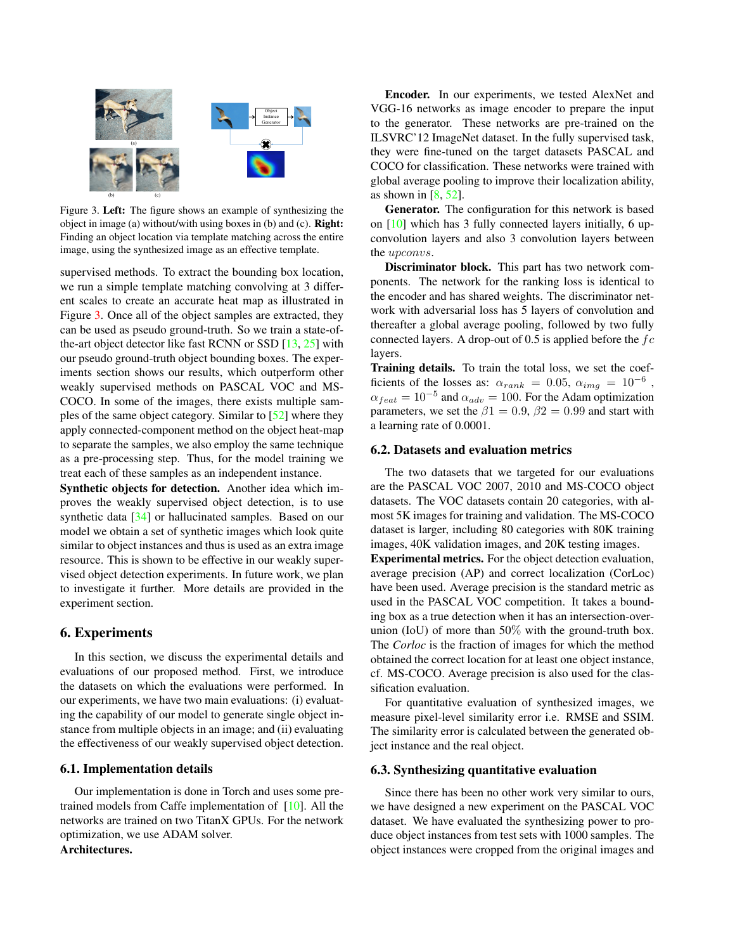

Figure 3. Left: The figure shows an example of synthesizing the object in image (a) without/with using boxes in (b) and (c). Right: Finding an object location via template matching across the entire image, using the synthesized image as an effective template.

supervised methods. To extract the bounding box location, we run a simple template matching convolving at 3 different scales to create an accurate heat map as illustrated in Figure 3. Once all of the object samples are extracted, they can be used as pseudo ground-truth. So we train a state-ofthe-art object detector like fast RCNN or SSD [13, 25] with our pseudo ground-truth object bounding boxes. The experiments section shows our results, which outperform other weakly supervised methods on PASCAL VOC and MS-COCO. In some of the images, there exists multiple samples of the same object category. Similar to [52] where they apply connected-component method on the object heat-map to separate the samples, we also employ the same technique as a pre-processing step. Thus, for the model training we treat each of these samples as an independent instance.

Synthetic objects for detection. Another idea which improves the weakly supervised object detection, is to use synthetic data [34] or hallucinated samples. Based on our model we obtain a set of synthetic images which look quite similar to object instances and thus is used as an extra image resource. This is shown to be effective in our weakly supervised object detection experiments. In future work, we plan to investigate it further. More details are provided in the experiment section.

# 6. Experiments

In this section, we discuss the experimental details and evaluations of our proposed method. First, we introduce the datasets on which the evaluations were performed. In our experiments, we have two main evaluations: (i) evaluating the capability of our model to generate single object instance from multiple objects in an image; and (ii) evaluating the effectiveness of our weakly supervised object detection.

## 6.1. Implementation details

Our implementation is done in Torch and uses some pretrained models from Caffe implementation of [10]. All the networks are trained on two TitanX GPUs. For the network optimization, we use ADAM solver.

# Architectures.

Encoder. In our experiments, we tested AlexNet and VGG-16 networks as image encoder to prepare the input to the generator. These networks are pre-trained on the ILSVRC'12 ImageNet dataset. In the fully supervised task, they were fine-tuned on the target datasets PASCAL and COCO for classification. These networks were trained with global average pooling to improve their localization ability, as shown in  $[8, 52]$ .

Generator. The configuration for this network is based on [10] which has 3 fully connected layers initially, 6 upconvolution layers and also 3 convolution layers between the upconvs.

Discriminator block. This part has two network components. The network for the ranking loss is identical to the encoder and has shared weights. The discriminator network with adversarial loss has 5 layers of convolution and thereafter a global average pooling, followed by two fully connected layers. A drop-out of 0.5 is applied before the  $fc$ layers.

Training details. To train the total loss, we set the coefficients of the losses as:  $\alpha_{rank} = 0.05$ ,  $\alpha_{img} = 10^{-6}$ ,  $\alpha_{feat} = 10^{-5}$  and  $\alpha_{adv} = 100$ . For the Adam optimization parameters, we set the  $\beta$ 1 = 0.9,  $\beta$ 2 = 0.99 and start with a learning rate of 0.0001.

## 6.2. Datasets and evaluation metrics

The two datasets that we targeted for our evaluations are the PASCAL VOC 2007, 2010 and MS-COCO object datasets. The VOC datasets contain 20 categories, with almost 5K images for training and validation. The MS-COCO dataset is larger, including 80 categories with 80K training images, 40K validation images, and 20K testing images.

Experimental metrics. For the object detection evaluation, average precision (AP) and correct localization (CorLoc) have been used. Average precision is the standard metric as used in the PASCAL VOC competition. It takes a bounding box as a true detection when it has an intersection-overunion (IoU) of more than  $50\%$  with the ground-truth box. The *Corloc* is the fraction of images for which the method obtained the correct location for at least one object instance, cf. MS-COCO. Average precision is also used for the classification evaluation.

For quantitative evaluation of synthesized images, we measure pixel-level similarity error i.e. RMSE and SSIM. The similarity error is calculated between the generated object instance and the real object.

#### 6.3. Synthesizing quantitative evaluation

Since there has been no other work very similar to ours, we have designed a new experiment on the PASCAL VOC dataset. We have evaluated the synthesizing power to produce object instances from test sets with 1000 samples. The object instances were cropped from the original images and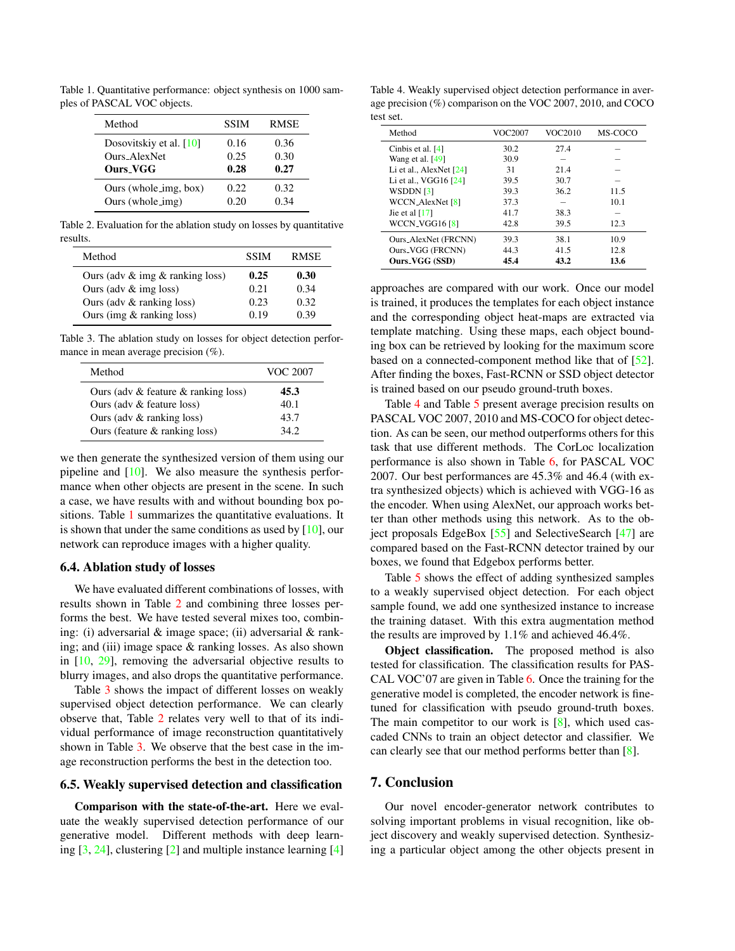Table 1. Quantitative performance: object synthesis on 1000 samples of PASCAL VOC objects.

| Method                                 | <b>SSIM</b> | <b>RMSE</b> |
|----------------------------------------|-------------|-------------|
| Dosovitskiy et al. $[10]$              | 0.16        | 0.36        |
| Ours AlexNet                           | 0.25        | 0.30        |
| <b>Ours VGG</b>                        | 0.28        | 0.27        |
| Ours (whole $\text{img}, \text{box}$ ) | 0.22.       | 0.32        |
| Ours (whole_img)                       | 0.20        | በ 34        |

Table 2. Evaluation for the ablation study on losses by quantitative results.

| Method                                | <b>SSIM</b> | <b>RMSE</b> |
|---------------------------------------|-------------|-------------|
| Ours (adv $\&$ img $\&$ ranking loss) | 0.25        | 0.30        |
| Ours (adv $&$ img loss)               | 0.21        | 0.34        |
| Ours (adv $&$ ranking loss)           | 0.23        | 0.32        |
| Ours (img $&$ ranking loss)           | 0.19        | 0.39        |

Table 3. The ablation study on losses for object detection performance in mean average precision (%).

| Method                                  | VOC 2007 |
|-----------------------------------------|----------|
| Ours (adv $&$ feature $&$ ranking loss) | 45.3     |
| Ours (adv $&$ feature loss)             | 40.1     |
| Ours (adv $&$ ranking loss)             | 43.7     |
| Ours (feature $&$ ranking loss)         | 342      |

we then generate the synthesized version of them using our pipeline and [10]. We also measure the synthesis performance when other objects are present in the scene. In such a case, we have results with and without bounding box positions. Table 1 summarizes the quantitative evaluations. It is shown that under the same conditions as used by  $[10]$ , our network can reproduce images with a higher quality.

# 6.4. Ablation study of losses

We have evaluated different combinations of losses, with results shown in Table 2 and combining three losses performs the best. We have tested several mixes too, combining: (i) adversarial & image space; (ii) adversarial & ranking; and (iii) image space & ranking losses. As also shown in [10, 29], removing the adversarial objective results to blurry images, and also drops the quantitative performance.

Table 3 shows the impact of different losses on weakly supervised object detection performance. We can clearly observe that, Table 2 relates very well to that of its individual performance of image reconstruction quantitatively shown in Table 3. We observe that the best case in the image reconstruction performs the best in the detection too.

#### 6.5. Weakly supervised detection and classification

Comparison with the state-of-the-art. Here we evaluate the weakly supervised detection performance of our generative model. Different methods with deep learning [3, 24], clustering [2] and multiple instance learning [4]

Table 4. Weakly supervised object detection performance in average precision (%) comparison on the VOC 2007, 2010, and COCO test set.

| Method                    | VOC2007 | VOC2010 | MS-COCO |
|---------------------------|---------|---------|---------|
| Cinbis et al. [4]         | 30.2    | 27.4    |         |
| Wang et al. $[49]$        | 30.9    |         |         |
| Li et al., AlexNet $[24]$ | 31      | 21.4    |         |
| Li et al., VGG16 [24]     | 39.5    | 30.7    |         |
| WSDDN [3]                 | 39.3    | 36.2    | 11.5    |
| <b>WCCN_AlexNet</b> [8]   | 37.3    |         | 10.1    |
| Jie et al $[17]$          | 41.7    | 38.3    |         |
| WCCN_VGG16 [8]            | 42.8    | 39.5    | 12.3    |
| Ours_AlexNet (FRCNN)      | 39.3    | 38.1    | 10.9    |
| Ours_VGG (FRCNN)          | 44.3    | 41.5    | 12.8    |
| Ours_VGG (SSD)            | 45.4    | 43.2    | 13.6    |

approaches are compared with our work. Once our model is trained, it produces the templates for each object instance and the corresponding object heat-maps are extracted via template matching. Using these maps, each object bounding box can be retrieved by looking for the maximum score based on a connected-component method like that of [52]. After finding the boxes, Fast-RCNN or SSD object detector is trained based on our pseudo ground-truth boxes.

Table 4 and Table 5 present average precision results on PASCAL VOC 2007, 2010 and MS-COCO for object detection. As can be seen, our method outperforms others for this task that use different methods. The CorLoc localization performance is also shown in Table 6, for PASCAL VOC 2007. Our best performances are 45.3% and 46.4 (with extra synthesized objects) which is achieved with VGG-16 as the encoder. When using AlexNet, our approach works better than other methods using this network. As to the object proposals EdgeBox [55] and SelectiveSearch [47] are compared based on the Fast-RCNN detector trained by our boxes, we found that Edgebox performs better.

Table 5 shows the effect of adding synthesized samples to a weakly supervised object detection. For each object sample found, we add one synthesized instance to increase the training dataset. With this extra augmentation method the results are improved by 1.1% and achieved 46.4%.

Object classification. The proposed method is also tested for classification. The classification results for PAS-CAL VOC'07 are given in Table 6. Once the training for the generative model is completed, the encoder network is finetuned for classification with pseudo ground-truth boxes. The main competitor to our work is [8], which used cascaded CNNs to train an object detector and classifier. We can clearly see that our method performs better than [8].

# 7. Conclusion

Our novel encoder-generator network contributes to solving important problems in visual recognition, like object discovery and weakly supervised detection. Synthesizing a particular object among the other objects present in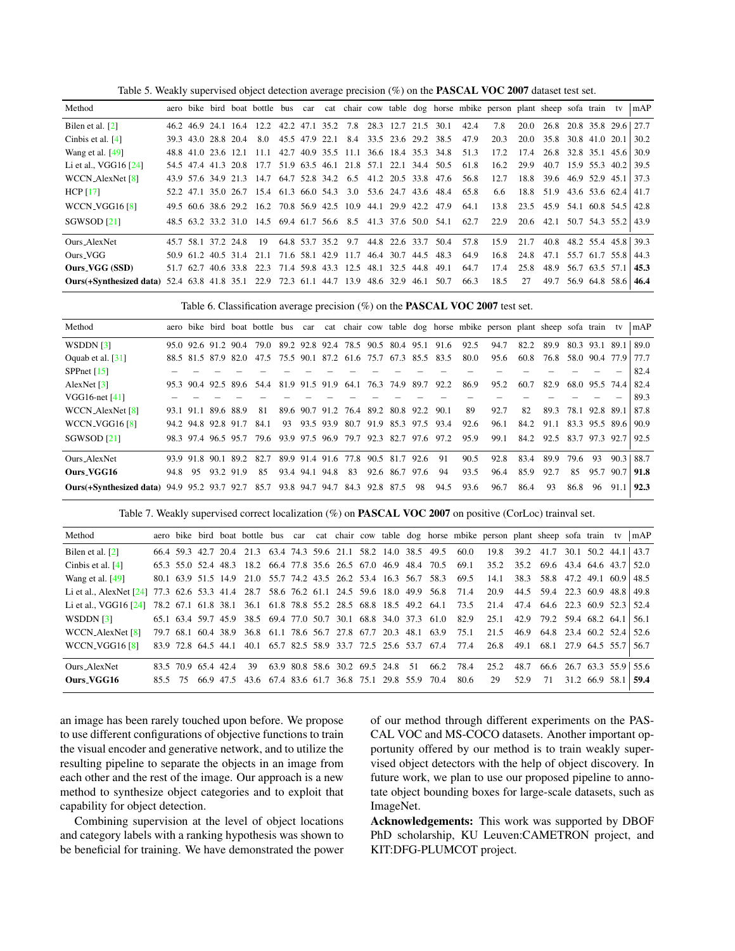Table 5. Weakly supervised object detection average precision (%) on the PASCAL VOC 2007 dataset test set.

| Method                                                                                   |           |                     |                                                                  |                    |                                         |                     |      |                         |      | aero bike bird boat bottle bus car cat chair cow table dog horse mbike person plant sheep sofa train tv |      |                          |                     | mAP  |
|------------------------------------------------------------------------------------------|-----------|---------------------|------------------------------------------------------------------|--------------------|-----------------------------------------|---------------------|------|-------------------------|------|---------------------------------------------------------------------------------------------------------|------|--------------------------|---------------------|------|
| Bilen et al. [2]                                                                         |           |                     | 46.2 46.9 24.1 16.4 12.2 42.2 47.1 35.2 7.8                      |                    |                                         | 28.3 12.7 21.5      |      | 30.1                    | 42.4 | 7.8                                                                                                     | 20.0 | 26.8                     | 20.8 35.8 29.6      | 27.7 |
| Cinbis et al. $[4]$                                                                      |           | 39.3 43.0 28.8 20.4 | 8.0                                                              |                    | 45.5 47.9 22.1 8.4 33.5 23.6 29.2 38.5  |                     |      |                         | 47.9 | 20.3                                                                                                    | 20.0 | 35.8                     | 30.8 41.0 20.1      | 30.2 |
| Wang et al. [49]                                                                         |           | 48.8 41.0 23.6 12.1 | $-11.1$                                                          |                    | 42.7 40.9 35.5 11.1 36.6 18.4 35.3 34.8 |                     |      |                         | 51.3 | 17.2                                                                                                    | 17.4 | 26.8                     | 32.8 35.1 45.6      | 30.9 |
| Li et al., VGG16 [24]                                                                    |           |                     | 54.5 47.4 41.3 20.8 17.7 51.9 63.5 46.1 21.8 57.1 22.1 34.4 50.5 |                    |                                         |                     |      |                         | 61.8 | 16.2                                                                                                    | 29.9 | 40.7                     | 15.9 55.3 40.2      | 39.5 |
| WCCN_AlexNet [8]                                                                         |           | 43.9 57.6 34.9 21.3 | 14.7                                                             | 64.7 52.8 34.2 6.5 |                                         | 41.2 20.5 33.8 47.6 |      |                         | 56.8 | 12.7                                                                                                    | 18.8 | 39.6                     | 46.9 52.9 45.1      | 37.3 |
| HCP $[17]$                                                                               |           |                     | 52.2 47.1 35.0 26.7 15.4 61.3 66.0 54.3                          |                    |                                         |                     |      | 3.0 53.6 24.7 43.6 48.4 | 65.8 | 6.6                                                                                                     | 18.8 | 51.9                     | 43.6 53.6 62.4 41.7 |      |
| WCCN_VGG16 [8]                                                                           |           |                     | 49.5 60.6 38.6 29.2 16.2 70.8 56.9 42.5 10.9 44.1 29.9 42.2 47.9 |                    |                                         |                     |      |                         | 64.1 | 13.8                                                                                                    |      | 23.5 45.9 54.1 60.8 54.5 |                     | 42.8 |
| SGWSOD [21]                                                                              |           |                     | 48.5 63.2 33.2 31.0 14.5 69.4 61.7 56.6 8.5 41.3 37.6 50.0 54.1  |                    |                                         |                     |      |                         | 62.7 | 22.9                                                                                                    |      | 20.6 42.1                | 50.7 54.3 55.2 43.9 |      |
| Ours AlexNet                                                                             |           | 45.7 58.1 37.2 24.8 | 19                                                               | 64.8 53.7 35.2     | 9.7                                     | 44.8 22.6 33.7      |      | 50.4                    | 57.8 | 15.9                                                                                                    | 21.7 | 40.8                     | 48.2 55.4 45.8      | 39.3 |
| Ours_VGG                                                                                 |           |                     | 50.9 61.2 40.5 31.4 21.1 71.6 58.1 42.9 11.7                     |                    |                                         | 46.4 30.7           |      | 44.5 48.3               | 64.9 | 16.8                                                                                                    | 24.8 | 47.1 55.7 61.7 55.8      |                     | 44.3 |
| Ours_VGG (SSD)                                                                           | 51.7 62.7 | 40.6 33.8           | 22.3                                                             |                    | 71.4 59.8 43.3 12.5                     | 48.1 32.5           | 44.8 | 49.1                    | 64.7 | 17.4                                                                                                    | 25.8 | 48.9                     | 56.7 63.5 57.1      | 45.3 |
| Ours(+Synthesized data) 52.4 63.8 41.8 35.1 22.9 72.3 61.1 44.7 13.9 48.6 32.9 46.1 50.7 |           |                     |                                                                  |                    |                                         |                     |      |                         | 66.3 | 18.5                                                                                                    | 27   | 49.7                     | 56.9 64.8 58.6      | 46.4 |

Table 6. Classification average precision (%) on the PASCAL VOC 2007 test set.

| Method                                                                                 |         |           |                     |                                                                  |    |                |      |                                         |    |           |      | aero bike bird boat bottle bus car cat chair cow table dog horse mbike person plant sheep sofa train tv |      |      |      |                |      | mAP  |
|----------------------------------------------------------------------------------------|---------|-----------|---------------------|------------------------------------------------------------------|----|----------------|------|-----------------------------------------|----|-----------|------|---------------------------------------------------------------------------------------------------------|------|------|------|----------------|------|------|
| WSDDN $[3]$                                                                            |         |           | 95.0 92.6 91.2 90.4 | 79.0 89.2 92.8 92.4 78.5 90.5 80.4 95.1 91.6                     |    |                |      |                                         |    |           | 92.5 | 94.7                                                                                                    | 82.2 | 89.9 |      | 80.3 93.1 89.1 |      | 89.0 |
| Oquab et al. $\lceil 31 \rceil$                                                        |         |           |                     | 88.5 81.5 87.9 82.0 47.5 75.5 90.1 87.2 61.6 75.7 67.3 85.5 83.5 |    |                |      |                                         |    |           | 80.0 | 95.6                                                                                                    | 60.8 | 76.8 |      | 58.0 90.4 77.9 |      | 77.7 |
| SPPnet $[15]$                                                                          |         |           |                     |                                                                  |    |                |      |                                         |    |           |      |                                                                                                         |      |      |      |                |      | 82.4 |
| AlexNet $\lceil 3 \rceil$                                                              |         |           |                     | 95.3 90.4 92.5 89.6 54.4 81.9 91.5 91.9                          |    |                | 64.1 | 76.3 74.9                               |    | 89.7 92.2 | 86.9 | 95.2                                                                                                    | 60.7 | 82.9 |      | 68.0 95.5 74.4 |      | 82.4 |
| VGG16-net $[41]$                                                                       |         |           |                     |                                                                  |    |                |      |                                         |    |           |      |                                                                                                         |      |      |      |                |      | 89.3 |
| WCCN_AlexNet [8]                                                                       |         | 93.1 91.1 | 89.6 88.9           | 81                                                               |    |                |      | 89.6 90.7 91.2 76.4 89.2 80.8 92.2 90.1 |    |           | 89   | 92.7                                                                                                    | 82   | 89.3 |      | 78.1 92.8 89.1 |      | 87.8 |
| WCCN <sub>-VGG16</sub> [8]                                                             |         |           | 94.2 94.8 92.8 91.7 | 84.1                                                             | 93 |                |      | 93.5 93.9 80.7 91.9 85.3 97.5 93.4      |    |           | 92.6 | 96.1                                                                                                    | 84.2 | 91.1 |      | 83.3 95.5 89.6 |      | 90.9 |
| SGWSOD [21]                                                                            |         |           |                     | 98.3 97.4 96.5 95.7 79.6 93.9 97.5 96.9 79.7 92.3 82.7 97.6 97.2 |    |                |      |                                         |    |           | 95.9 | 99.1                                                                                                    | 84.2 | 92.5 |      | 83.7 97.3 92.7 |      | 92.5 |
| Ours AlexNet                                                                           |         |           |                     | 93.9 91.8 90.1 89.2 82.7 89.9 91.4 91.6 77.8 90.5 81.7 92.6      |    |                |      |                                         |    | - 91      | 90.5 | 92.8                                                                                                    | 83.4 | 89.9 | 79.6 | 93             | 90.3 | 88.7 |
| Ours_VGG16                                                                             | 94.8 95 |           | 93.2 91.9           | 85                                                               |    | 93.4 94.1 94.8 | 83   | 92.6 86.7 97.6                          |    | 94        | 93.5 | 96.4                                                                                                    | 85.9 | 92.7 | 85   | 95.7 90.7      |      | 91.8 |
| <b>Ours</b> (+Synthesized data) 94.9 95.2 93.7 92.7 85.7 93.8 94.7 94.7 84.3 92.8 87.5 |         |           |                     |                                                                  |    |                |      |                                         | 98 | 94.5      | 93.6 | 96.7                                                                                                    | 86.4 | 93   | 86.8 | 96             | 91.1 | 92.3 |

Table 7. Weakly supervised correct localization (%) on PASCAL VOC 2007 on positive (CorLoc) trainval set.

| Method                                                                                        |         |                     |           |                                                                  |  |                                  |  |      |                                                                       | aero bike bird boat bottle bus car cat chair cow table dog horse mbike person plant sheep sofa train tv |      |                                    |                | mAP  |
|-----------------------------------------------------------------------------------------------|---------|---------------------|-----------|------------------------------------------------------------------|--|----------------------------------|--|------|-----------------------------------------------------------------------|---------------------------------------------------------------------------------------------------------|------|------------------------------------|----------------|------|
| Bilen et al. [2]                                                                              |         |                     |           | 66.4 59.3 42.7 20.4 21.3 63.4 74.3 59.6 21.1 58.2 14.0 38.5 49.5 |  |                                  |  |      | 60.0                                                                  | 19.8                                                                                                    | 39.2 | 41.7                               | 30.1 50.2 44.1 | 43.7 |
| Cinbis et al. $[4]$                                                                           |         |                     |           |                                                                  |  |                                  |  |      | 65.3 55.0 52.4 48.3 18.2 66.4 77.8 35.6 26.5 67.0 46.9 48.4 70.5 69.1 |                                                                                                         |      | 35.2 35.2 69.6 43.4 64.6 43.7 52.0 |                |      |
| Wang et al. $[49]$                                                                            |         |                     |           | 80.1 63.9 51.5 14.9 21.0 55.7 74.2 43.5 26.2 53.4 16.3 56.7 58.3 |  |                                  |  |      | 69.5                                                                  | 14.1                                                                                                    |      | 38.3 58.8 47.2 49.1 60.9           |                | 48.5 |
| Li et al., AlexNet [24] 77.3 62.6 53.3 41.4 28.7 58.6 76.2 61.1 24.5 59.6 18.0 49.9 56.8 71.4 |         |                     |           |                                                                  |  |                                  |  |      |                                                                       | 20.9                                                                                                    |      | 44.5 59.4 22.3 60.9 48.8 49.8      |                |      |
| Li et al., $VGG16$ $[24]$                                                                     |         |                     |           |                                                                  |  |                                  |  |      | 78.2 67.1 61.8 38.1 36.1 61.8 78.8 55.2 28.5 68.8 18.5 49.2 64.1 73.5 | 21.4                                                                                                    |      | 47.4 64.6 22.3 60.9 52.3 52.4      |                |      |
| WSDDN $[3]$                                                                                   |         |                     |           | 65.1 63.4 59.7 45.9 38.5 69.4 77.0 50.7 30.1 68.8 34.0 37.3 61.0 |  |                                  |  |      | 82.9                                                                  | 25.1                                                                                                    |      | 42.9 79.2 59.4 68.2 64.1           |                | 56.1 |
| WCCN_AlexNet [8]                                                                              |         |                     |           |                                                                  |  |                                  |  |      | 79.7 68.1 60.4 38.9 36.8 61.1 78.6 56.7 27.8 67.7 20.3 48.1 63.9 75.1 | 21.5                                                                                                    |      | 46.9 64.8 23.4 60.2 52.4 52.6      |                |      |
| WCCN_VGG16 [8]                                                                                |         |                     |           |                                                                  |  |                                  |  |      | 83.9 72.8 64.5 44.1 40.1 65.7 82.5 58.9 33.7 72.5 25.6 53.7 67.4 77.4 | 26.8                                                                                                    |      | 49.1 68.1 27.9 64.5 55.7 56.7      |                |      |
| Ours_AlexNet                                                                                  |         | 83.5 70.9 65.4 42.4 |           | 39                                                               |  | 63.9 80.8 58.6 30.2 69.5 24.8 51 |  | 66.2 | 78.4                                                                  | 25.2                                                                                                    | 48.7 | 66.6 26.7 63.3 55.9 55.6           |                |      |
| <b>Ours VGG16</b>                                                                             | 85.5 75 |                     | 66.9 47.5 | 43.6 67.4 83.6 61.7 36.8 75.1 29.8 55.9 70.4                     |  |                                  |  |      | 80.6                                                                  | 29                                                                                                      | 52.9 | 71                                 | 31.2 66.9 58.1 | 59.4 |

an image has been rarely touched upon before. We propose to use different configurations of objective functions to train the visual encoder and generative network, and to utilize the resulting pipeline to separate the objects in an image from each other and the rest of the image. Our approach is a new method to synthesize object categories and to exploit that capability for object detection.

Combining supervision at the level of object locations and category labels with a ranking hypothesis was shown to be beneficial for training. We have demonstrated the power of our method through different experiments on the PAS-CAL VOC and MS-COCO datasets. Another important opportunity offered by our method is to train weakly supervised object detectors with the help of object discovery. In future work, we plan to use our proposed pipeline to annotate object bounding boxes for large-scale datasets, such as ImageNet.

Acknowledgements: This work was supported by DBOF PhD scholarship, KU Leuven:CAMETRON project, and KIT:DFG-PLUMCOT project.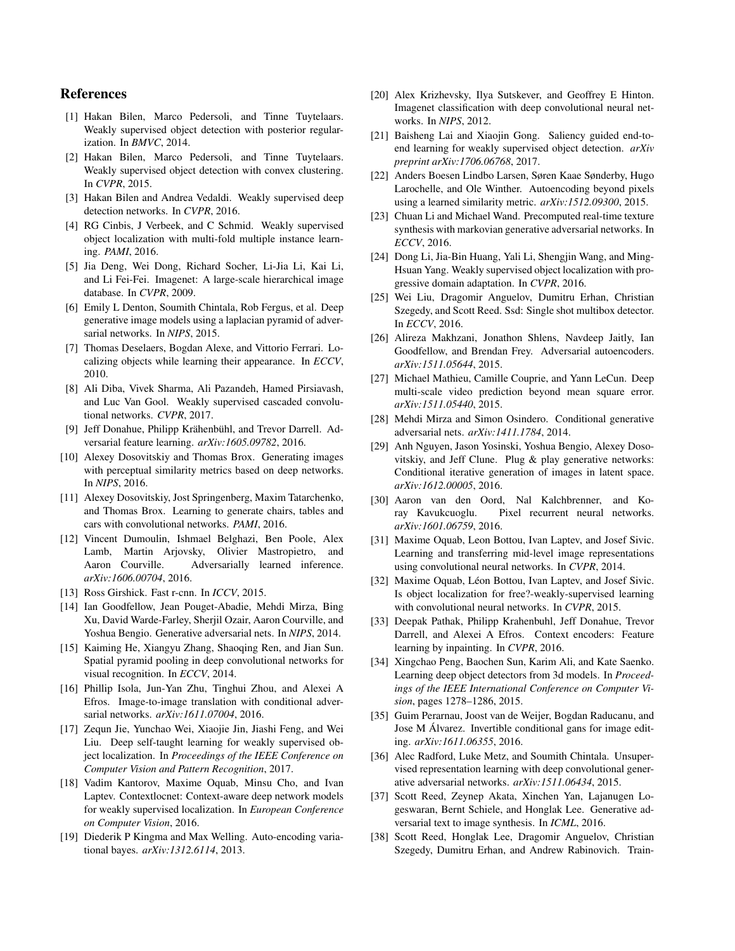# References

- [1] Hakan Bilen, Marco Pedersoli, and Tinne Tuytelaars. Weakly supervised object detection with posterior regularization. In *BMVC*, 2014.
- [2] Hakan Bilen, Marco Pedersoli, and Tinne Tuytelaars. Weakly supervised object detection with convex clustering. In *CVPR*, 2015.
- [3] Hakan Bilen and Andrea Vedaldi. Weakly supervised deep detection networks. In *CVPR*, 2016.
- [4] RG Cinbis, J Verbeek, and C Schmid. Weakly supervised object localization with multi-fold multiple instance learning. *PAMI*, 2016.
- [5] Jia Deng, Wei Dong, Richard Socher, Li-Jia Li, Kai Li, and Li Fei-Fei. Imagenet: A large-scale hierarchical image database. In *CVPR*, 2009.
- [6] Emily L Denton, Soumith Chintala, Rob Fergus, et al. Deep generative image models using a laplacian pyramid of adversarial networks. In *NIPS*, 2015.
- [7] Thomas Deselaers, Bogdan Alexe, and Vittorio Ferrari. Localizing objects while learning their appearance. In *ECCV*, 2010.
- [8] Ali Diba, Vivek Sharma, Ali Pazandeh, Hamed Pirsiavash, and Luc Van Gool. Weakly supervised cascaded convolutional networks. *CVPR*, 2017.
- [9] Jeff Donahue, Philipp Krähenbühl, and Trevor Darrell. Adversarial feature learning. *arXiv:1605.09782*, 2016.
- [10] Alexey Dosovitskiy and Thomas Brox. Generating images with perceptual similarity metrics based on deep networks. In *NIPS*, 2016.
- [11] Alexey Dosovitskiy, Jost Springenberg, Maxim Tatarchenko, and Thomas Brox. Learning to generate chairs, tables and cars with convolutional networks. *PAMI*, 2016.
- [12] Vincent Dumoulin, Ishmael Belghazi, Ben Poole, Alex Lamb, Martin Arjovsky, Olivier Mastropietro, and Aaron Courville. Adversarially learned inference. *arXiv:1606.00704*, 2016.
- [13] Ross Girshick. Fast r-cnn. In *ICCV*, 2015.
- [14] Ian Goodfellow, Jean Pouget-Abadie, Mehdi Mirza, Bing Xu, David Warde-Farley, Sherjil Ozair, Aaron Courville, and Yoshua Bengio. Generative adversarial nets. In *NIPS*, 2014.
- [15] Kaiming He, Xiangyu Zhang, Shaoqing Ren, and Jian Sun. Spatial pyramid pooling in deep convolutional networks for visual recognition. In *ECCV*, 2014.
- [16] Phillip Isola, Jun-Yan Zhu, Tinghui Zhou, and Alexei A Efros. Image-to-image translation with conditional adversarial networks. *arXiv:1611.07004*, 2016.
- [17] Zequn Jie, Yunchao Wei, Xiaojie Jin, Jiashi Feng, and Wei Liu. Deep self-taught learning for weakly supervised object localization. In *Proceedings of the IEEE Conference on Computer Vision and Pattern Recognition*, 2017.
- [18] Vadim Kantorov, Maxime Oquab, Minsu Cho, and Ivan Laptev. Contextlocnet: Context-aware deep network models for weakly supervised localization. In *European Conference on Computer Vision*, 2016.
- [19] Diederik P Kingma and Max Welling. Auto-encoding variational bayes. *arXiv:1312.6114*, 2013.
- [20] Alex Krizhevsky, Ilya Sutskever, and Geoffrey E Hinton. Imagenet classification with deep convolutional neural networks. In *NIPS*, 2012.
- [21] Baisheng Lai and Xiaojin Gong. Saliency guided end-toend learning for weakly supervised object detection. *arXiv preprint arXiv:1706.06768*, 2017.
- [22] Anders Boesen Lindbo Larsen, Søren Kaae Sønderby, Hugo Larochelle, and Ole Winther. Autoencoding beyond pixels using a learned similarity metric. *arXiv:1512.09300*, 2015.
- [23] Chuan Li and Michael Wand. Precomputed real-time texture synthesis with markovian generative adversarial networks. In *ECCV*, 2016.
- [24] Dong Li, Jia-Bin Huang, Yali Li, Shengjin Wang, and Ming-Hsuan Yang. Weakly supervised object localization with progressive domain adaptation. In *CVPR*, 2016.
- [25] Wei Liu, Dragomir Anguelov, Dumitru Erhan, Christian Szegedy, and Scott Reed. Ssd: Single shot multibox detector. In *ECCV*, 2016.
- [26] Alireza Makhzani, Jonathon Shlens, Navdeep Jaitly, Ian Goodfellow, and Brendan Frey. Adversarial autoencoders. *arXiv:1511.05644*, 2015.
- [27] Michael Mathieu, Camille Couprie, and Yann LeCun. Deep multi-scale video prediction beyond mean square error. *arXiv:1511.05440*, 2015.
- [28] Mehdi Mirza and Simon Osindero. Conditional generative adversarial nets. *arXiv:1411.1784*, 2014.
- [29] Anh Nguyen, Jason Yosinski, Yoshua Bengio, Alexey Dosovitskiy, and Jeff Clune. Plug & play generative networks: Conditional iterative generation of images in latent space. *arXiv:1612.00005*, 2016.
- [30] Aaron van den Oord, Nal Kalchbrenner, and Koray Kavukcuoglu. Pixel recurrent neural networks. *arXiv:1601.06759*, 2016.
- [31] Maxime Oquab, Leon Bottou, Ivan Laptev, and Josef Sivic. Learning and transferring mid-level image representations using convolutional neural networks. In *CVPR*, 2014.
- [32] Maxime Oquab, Léon Bottou, Ivan Laptev, and Josef Sivic. Is object localization for free?-weakly-supervised learning with convolutional neural networks. In *CVPR*, 2015.
- [33] Deepak Pathak, Philipp Krahenbuhl, Jeff Donahue, Trevor Darrell, and Alexei A Efros. Context encoders: Feature learning by inpainting. In *CVPR*, 2016.
- [34] Xingchao Peng, Baochen Sun, Karim Ali, and Kate Saenko. Learning deep object detectors from 3d models. In *Proceedings of the IEEE International Conference on Computer Vision*, pages 1278–1286, 2015.
- [35] Guim Perarnau, Joost van de Weijer, Bogdan Raducanu, and Jose M Alvarez. Invertible conditional gans for image edit- ´ ing. *arXiv:1611.06355*, 2016.
- [36] Alec Radford, Luke Metz, and Soumith Chintala. Unsupervised representation learning with deep convolutional generative adversarial networks. *arXiv:1511.06434*, 2015.
- [37] Scott Reed, Zeynep Akata, Xinchen Yan, Lajanugen Logeswaran, Bernt Schiele, and Honglak Lee. Generative adversarial text to image synthesis. In *ICML*, 2016.
- [38] Scott Reed, Honglak Lee, Dragomir Anguelov, Christian Szegedy, Dumitru Erhan, and Andrew Rabinovich. Train-